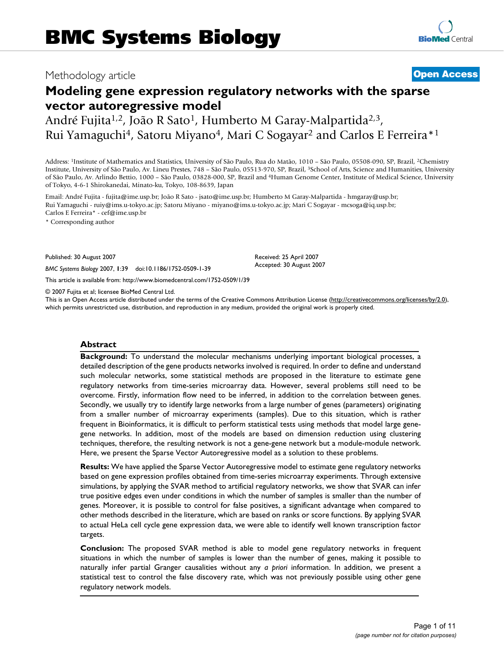# Methodology article **[Open Access](http://www.biomedcentral.com/info/about/charter/)**

# **Modeling gene expression regulatory networks with the sparse vector autoregressive model**

André Fujita<sup>1,2</sup>, João R Sato<sup>1</sup>, Humberto M Garay-Malpartida<sup>2,3</sup>, Rui Yamaguchi<sup>4</sup>, Satoru Miyano<sup>4</sup>, Mari C Sogayar<sup>2</sup> and Carlos E Ferreira<sup>\*1</sup>

Address: 1Institute of Mathematics and Statistics, University of São Paulo, Rua do Matão, 1010 – São Paulo, 05508-090, SP, Brazil, 2Chemistry Institute, University of São Paulo, Av. Lineu Prestes, 748 – São Paulo, 05513-970, SP, Brazil, 3School of Arts, Science and Humanities, University of São Paulo, Av. Arlindo Bettio, 1000 – São Paulo, 03828-000, SP, Brazil and 4Human Genome Center, Institute of Medical Science, University of Tokyo, 4-6-1 Shirokanedai, Minato-ku, Tokyo, 108-8639, Japan

Email: André Fujita - fujita@ime.usp.br; João R Sato - jsato@ime.usp.br; Humberto M Garay-Malpartida - hmgaray@usp.br; Rui Yamaguchi - ruiy@ims.u-tokyo.ac.jp; Satoru Miyano - miyano@ims.u-tokyo.ac.jp; Mari C Sogayar - mcsoga@iq.usp.br; Carlos E Ferreira\* - cef@ime.usp.br

\* Corresponding author

Published: 30 August 2007

*BMC Systems Biology* 2007, **1**:39 doi:10.1186/1752-0509-1-39

[This article is available from: http://www.biomedcentral.com/1752-0509/1/39](http://www.biomedcentral.com/1752-0509/1/39)

© 2007 Fujita et al; licensee BioMed Central Ltd.

This is an Open Access article distributed under the terms of the Creative Commons Attribution License [\(http://creativecommons.org/licenses/by/2.0\)](http://creativecommons.org/licenses/by/2.0), which permits unrestricted use, distribution, and reproduction in any medium, provided the original work is properly cited.

Received: 25 April 2007 Accepted: 30 August 2007

## **Abstract**

**Background:** To understand the molecular mechanisms underlying important biological processes, a detailed description of the gene products networks involved is required. In order to define and understand such molecular networks, some statistical methods are proposed in the literature to estimate gene regulatory networks from time-series microarray data. However, several problems still need to be overcome. Firstly, information flow need to be inferred, in addition to the correlation between genes. Secondly, we usually try to identify large networks from a large number of genes (parameters) originating from a smaller number of microarray experiments (samples). Due to this situation, which is rather frequent in Bioinformatics, it is difficult to perform statistical tests using methods that model large genegene networks. In addition, most of the models are based on dimension reduction using clustering techniques, therefore, the resulting network is not a gene-gene network but a module-module network. Here, we present the Sparse Vector Autoregressive model as a solution to these problems.

**Results:** We have applied the Sparse Vector Autoregressive model to estimate gene regulatory networks based on gene expression profiles obtained from time-series microarray experiments. Through extensive simulations, by applying the SVAR method to artificial regulatory networks, we show that SVAR can infer true positive edges even under conditions in which the number of samples is smaller than the number of genes. Moreover, it is possible to control for false positives, a significant advantage when compared to other methods described in the literature, which are based on ranks or score functions. By applying SVAR to actual HeLa cell cycle gene expression data, we were able to identify well known transcription factor targets.

**Conclusion:** The proposed SVAR method is able to model gene regulatory networks in frequent situations in which the number of samples is lower than the number of genes, making it possible to naturally infer partial Granger causalities without any *a priori* information. In addition, we present a statistical test to control the false discovery rate, which was not previously possible using other gene regulatory network models.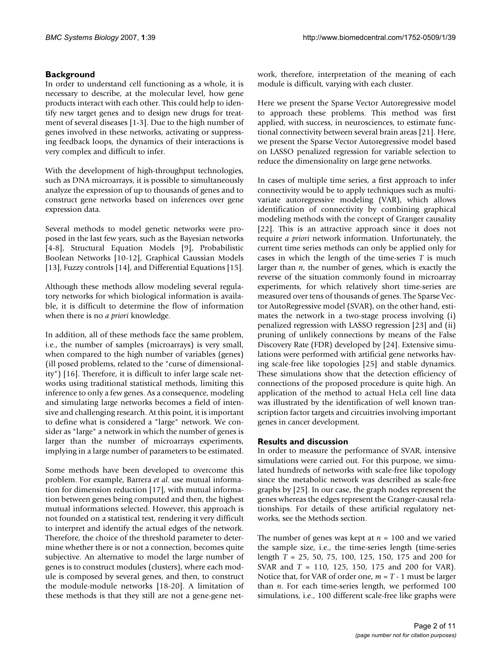# **Background**

In order to understand cell functioning as a whole, it is necessary to describe, at the molecular level, how gene products interact with each other. This could help to identify new target genes and to design new drugs for treatment of several diseases [1-3]. Due to the high number of genes involved in these networks, activating or suppressing feedback loops, the dynamics of their interactions is very complex and difficult to infer.

With the development of high-throughput technologies, such as DNA microarrays, it is possible to simultaneously analyze the expression of up to thousands of genes and to construct gene networks based on inferences over gene expression data.

Several methods to model genetic networks were proposed in the last few years, such as the Bayesian networks [4-8], Structural Equation Models [9], Probabilistic Boolean Networks [10-12], Graphical Gaussian Models [13], Fuzzy controls [14], and Differential Equations [15].

Although these methods allow modeling several regulatory networks for which biological information is available, it is difficult to determine the flow of information when there is no *a priori* knowledge.

In addition, all of these methods face the same problem, i.e., the number of samples (microarrays) is very small, when compared to the high number of variables (genes) (ill posed problems, related to the "curse of dimensionality") [16]. Therefore, it is difficult to infer large scale networks using traditional statistical methods, limiting this inference to only a few genes. As a consequence, modeling and simulating large networks becomes a field of intensive and challenging research. At this point, it is important to define what is considered a "large" network. We consider as "large" a network in which the number of genes is larger than the number of microarrays experiments, implying in a large number of parameters to be estimated.

Some methods have been developed to overcome this problem. For example, Barrera *et al*. use mutual information for dimension reduction [17], with mutual information between genes being computed and then, the highest mutual informations selected. However, this approach is not founded on a statistical test, rendering it very difficult to interpret and identify the actual edges of the network. Therefore, the choice of the threshold parameter to determine whether there is or not a connection, becomes quite subjective. An alternative to model the large number of genes is to construct modules (clusters), where each module is composed by several genes, and then, to construct the module-module networks [18-20]. A limitation of these methods is that they still are not a gene-gene network, therefore, interpretation of the meaning of each module is difficult, varying with each cluster.

Here we present the Sparse Vector Autoregressive model to approach these problems. This method was first applied, with success, in neurosciences, to estimate functional connectivity between several brain areas [21]. Here, we present the Sparse Vector Autoregressive model based on LASSO penalized regression for variable selection to reduce the dimensionality on large gene networks.

In cases of multiple time series, a first approach to infer connectivity would be to apply techniques such as multivariate autoregressive modeling (VAR), which allows identification of connectivity by combining graphical modeling methods with the concept of Granger causality [22]. This is an attractive approach since it does not require *a priori* network information. Unfortunately, the current time series methods can only be applied only for cases in which the length of the time-series *T* is much larger than *n*, the number of genes, which is exactly the reverse of the situation commonly found in microarray experiments, for which relatively short time-series are measured over tens of thousands of genes. The Sparse Vector AutoRegressive model (SVAR), on the other hand, estimates the network in a two-stage process involving (i) penalized regression with LASSO regression [23] and (ii) pruning of unlikely connections by means of the False Discovery Rate (FDR) developed by [24]. Extensive simulations were performed with artificial gene networks having scale-free like topologies [25] and stable dynamics. These simulations show that the detection efficiency of connections of the proposed procedure is quite high. An application of the method to actual HeLa cell line data was illustrated by the identification of well known transcription factor targets and circuitries involving important genes in cancer development.

# **Results and discussion**

In order to measure the performance of SVAR, intensive simulations were carried out. For this purpose, we simulated hundreds of networks with scale-free like topology since the metabolic network was described as scale-free graphs by [25]. In our case, the graph nodes represent the genes whereas the edges represent the Granger-causal relationships. For details of these artificial regulatory networks, see the Methods section.

The number of genes was kept at *n* = 100 and we varied the sample size, i.e., the time-series length (time-series length *T* = 25, 50, 75, 100, 125, 150, 175 and 200 for SVAR and *T* = 110, 125, 150, 175 and 200 for VAR). Notice that, for VAR of order one, *m* = *T* - 1 must be larger than *n*. For each time-series length, we performed 100 simulations, i.e., 100 different scale-free like graphs were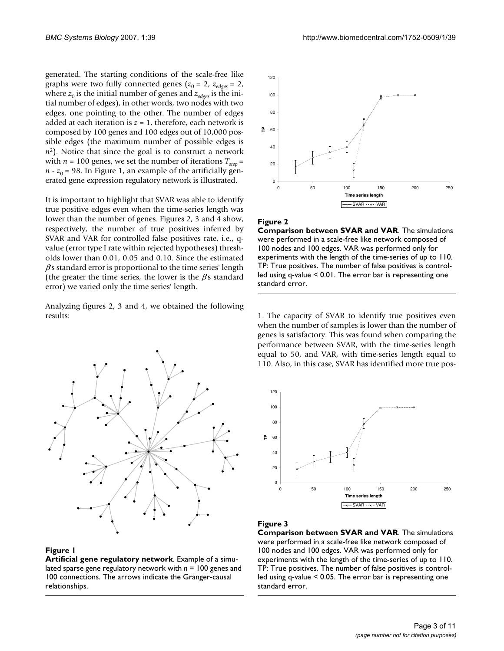generated. The starting conditions of the scale-free like graphs were two fully connected genes  $(z_0 = 2, z_{edges} = 2,$ where  $z_0$  is the initial number of genes and  $z_{edges}$  is the initial number of edges), in other words, two nodes with two edges, one pointing to the other. The number of edges added at each iteration is  $z = 1$ , therefore, each network is composed by 100 genes and 100 edges out of 10,000 possible edges (the maximum number of possible edges is *n*2). Notice that since the goal is to construct a network with  $n = 100$  genes, we set the number of iterations  $T_{step} =$  $n - z_0$  = 98. In Figure 1, an example of the artificially generated gene expression regulatory network is illustrated.

It is important to highlight that SVAR was able to identify true positive edges even when the time-series length was lower than the number of genes. Figures 2, 3 and 4 show, respectively, the number of true positives inferred by SVAR and VAR for controlled false positives rate, i.e., qvalue (error type I rate within rejected hypotheses) thresholds lower than 0.01, 0.05 and 0.10. Since the estimated  $\beta$ s standard error is proportional to the time series' length (the greater the time series, the lower is the  $\beta$ s standard error) we varied only the time series' length.

Analyzing figures 2, 3 and 4, we obtained the following results: 1. The capacity of SVAR to identify true positives even



## **Figure 1**

**Artificial gene regulatory network**. Example of a simulated sparse gene regulatory network with *n* = 100 genes and 100 connections. The arrows indicate the Granger-causal relationships.



# **Figure 2**

**Comparison between SVAR and VAR**. The simulations were performed in a scale-free like network composed of 100 nodes and 100 edges. VAR was performed only for experiments with the length of the time-series of up to 110. TP: True positives. The number of false positives is controlled using q-value < 0.01. The error bar is representing one standard error.

when the number of samples is lower than the number of genes is satisfactory. This was found when comparing the performance between SVAR, with the time-series length equal to 50, and VAR, with time-series length equal to 110. Also, in this case, SVAR has identified more true pos-



# **Figure 3**

**Comparison between SVAR and VAR**. The simulations were performed in a scale-free like network composed of 100 nodes and 100 edges. VAR was performed only for experiments with the length of the time-series of up to 110. TP: True positives. The number of false positives is controlled using q-value < 0.05. The error bar is representing one standard error.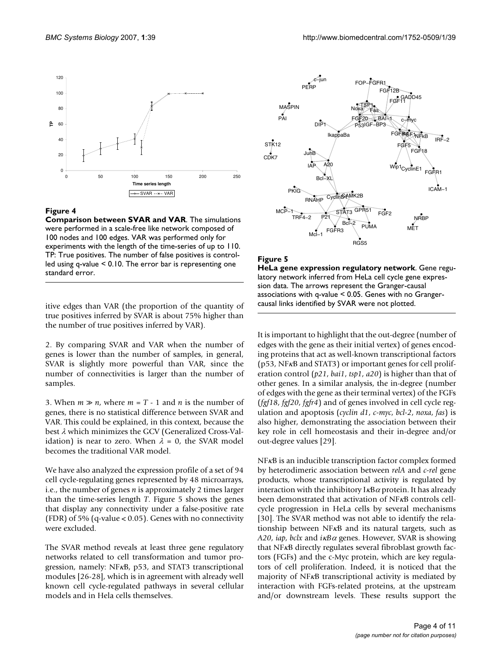

# **Figure 4**

**Comparison between SVAR and VAR**. The simulations were performed in a scale-free like network composed of 100 nodes and 100 edges. VAR was performed only for experiments with the length of the time-series of up to 110. TP: True positives. The number of false positives is controlled using q-value < 0.10. The error bar is representing one standard error.

itive edges than VAR (the proportion of the quantity of true positives inferred by SVAR is about 75% higher than the number of true positives inferred by VAR).

2. By comparing SVAR and VAR when the number of genes is lower than the number of samples, in general, SVAR is slightly more powerful than VAR, since the number of connectivities is larger than the number of samples.

3. When  $m \gg n$ , where  $m = T - 1$  and  $n$  is the number of genes, there is no statistical difference between SVAR and VAR. This could be explained, in this context, because the best λ which minimizes the GCV (Generalized Cross-Validation) is near to zero. When  $\lambda = 0$ , the SVAR model becomes the traditional VAR model.

We have also analyzed the expression profile of a set of 94 cell cycle-regulating genes represented by 48 microarrays, i.e., the number of genes *n* is approximately 2 times larger than the time-series length *T*. Figure 5 shows the genes that display any connectivity under a false-positive rate (FDR) of 5% (q-value < 0.05). Genes with no connectivity were excluded.

The SVAR method reveals at least three gene regulatory networks related to cell transformation and tumor progression, namely: NFκB, p53, and STAT3 transcriptional modules [26-28], which is in agreement with already well known cell cycle-regulated pathways in several cellular models and in Hela cells themselves.



# **Figure 5**

**HeLa gene expression regulatory network**. Gene regulatory network inferred from HeLa cell cycle gene expression data. The arrows represent the Granger-causal associations with q-value < 0.05. Genes with no Grangercausal links identified by SVAR were not plotted.

It is important to highlight that the out-degree (number of edges with the gene as their initial vertex) of genes encoding proteins that act as well-known transcriptional factors (p53, NFκB and STAT3) or important genes for cell proliferation control (*p21*, *bai1*, *tsp1*, *a20*) is higher than that of other genes. In a similar analysis, the in-degree (number of edges with the gene as their terminal vertex) of the FGFs (*fgf18*, *fgf20*, *fgfr4*) and of genes involved in cell cycle regulation and apoptosis (*cyclin d1*, *c-myc*, *bcl-2*, *noxa*, *fas*) is also higher, demonstrating the association between their key role in cell homeostasis and their in-degree and/or out-degree values [29].

NFκB is an inducible transcription factor complex formed by heterodimeric association between *relA* and *c-rel* gene products, whose transcriptional activity is regulated by interaction with the inhibitory  $I \kappa B \alpha$  protein. It has already been demonstrated that activation of NF<sub>KB</sub> controls cellcycle progression in HeLa cells by several mechanisms [30]. The SVAR method was not able to identify the relationship between NFκB and its natural targets, such as *A20*, *iap*, *bclx* and *i*κ*B*<sup>α</sup> genes. However, SVAR is showing that NFκB directly regulates several fibroblast growth factors (FGFs) and the c-Myc protein, which are key regulators of cell proliferation. Indeed, it is noticed that the majority of NF<sub>K</sub>B transcriptional activity is mediated by interaction with FGFs-related proteins, at the upstream and/or downstream levels. These results support the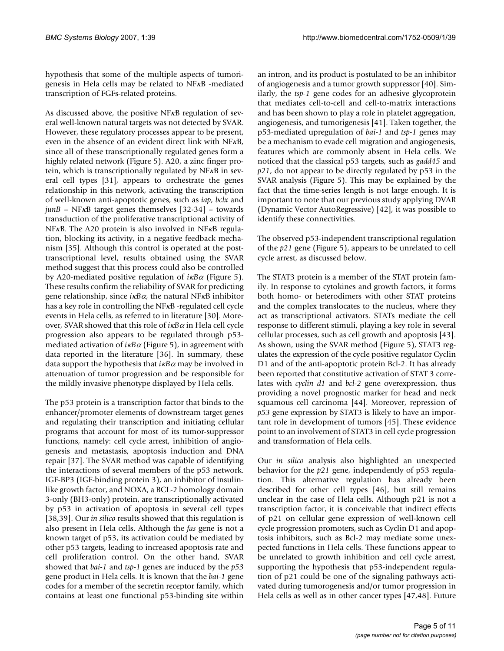hypothesis that some of the multiple aspects of tumorigenesis in Hela cells may be related to NFκB -mediated transcription of FGFs-related proteins.

As discussed above, the positive NFKB regulation of several well-known natural targets was not detected by SVAR. However, these regulatory processes appear to be present, even in the absence of an evident direct link with NFκB, since all of these transcriptionally regulated genes form a highly related network (Figure 5). A20, a zinc finger protein, which is transcriptionally regulated by NFκB in several cell types [31], appears to orchestrate the genes relationship in this network, activating the transcription of well-known anti-apoptotic genes, such as *iap*, *bclx* and *junB* – NFκB target genes themselves [32-34] – towards transduction of the proliferative transcriptional activity of NFκB. The A20 protein is also involved in NFκB regulation, blocking its activity, in a negative feedback mechanism [35]. Although this control is operated at the posttranscriptional level, results obtained using the SVAR method suggest that this process could also be controlled by A20-mediated positive regulation of *i*κ*B*<sup>α</sup> (Figure 5). These results confirm the reliability of SVAR for predicting gene relationship, since *i*κ*B*α, the natural NFκB inhibitor has a key role in controlling the NFKB -regulated cell cycle events in Hela cells, as referred to in literature [30]. Moreover, SVAR showed that this role of *i*κ*B*<sup>α</sup> in Hela cell cycle progression also appears to be regulated through p53 mediated activation of *i*κ*B*<sup>α</sup> (Figure 5), in agreement with data reported in the literature [36]. In summary, these data support the hypothesis that *i*κ*B*<sup>α</sup> may be involved in attenuation of tumor progression and be responsible for the mildly invasive phenotype displayed by Hela cells.

The p53 protein is a transcription factor that binds to the enhancer/promoter elements of downstream target genes and regulating their transcription and initiating cellular programs that account for most of its tumor-suppressor functions, namely: cell cycle arrest, inhibition of angiogenesis and metastasis, apoptosis induction and DNA repair [37]. The SVAR method was capable of identifying the interactions of several members of the p53 network. IGF-BP3 (IGF-binding protein 3), an inhibitor of insulinlike growth factor, and NOXA, a BCL-2 homology domain 3-only (BH3-only) protein, are transcriptionally activated by p53 in activation of apoptosis in several cell types [38,39]. Our *in silico* results showed that this regulation is also present in Hela cells. Although the *fas* gene is not a known target of p53, its activation could be mediated by other p53 targets, leading to increased apoptosis rate and cell proliferation control. On the other hand, SVAR showed that *bai-1* and *tsp-1* genes are induced by the *p53* gene product in Hela cells. It is known that the *bai-1* gene codes for a member of the secretin receptor family, which contains at least one functional p53-binding site within

an intron, and its product is postulated to be an inhibitor of angiogenesis and a tumor growth suppressor [40]. Similarly, the *tsp-1* gene codes for an adhesive glycoprotein that mediates cell-to-cell and cell-to-matrix interactions and has been shown to play a role in platelet aggregation, angiogenesis, and tumorigenesis [41]. Taken together, the p53-mediated upregulation of *bai-1* and *tsp-1* genes may be a mechanism to evade cell migration and angiogenesis, features which are commonly absent in Hela cells. We noticed that the classical p53 targets, such as *gadd45* and *p21*, do not appear to be directly regulated by p53 in the SVAR analysis (Figure 5). This may be explained by the fact that the time-series length is not large enough. It is important to note that our previous study applying DVAR (Dynamic Vector AutoRegressive) [42], it was possible to identify these connectivities.

The observed p53-independent transcriptional regulation of the *p21* gene (Figure 5), appears to be unrelated to cell cycle arrest, as discussed below.

The STAT3 protein is a member of the STAT protein family. In response to cytokines and growth factors, it forms both homo- or heterodimers with other STAT proteins and the complex translocates to the nucleus, where they act as transcriptional activators. STATs mediate the cell response to different stimuli, playing a key role in several cellular processes, such as cell growth and apoptosis [43]. As shown, using the SVAR method (Figure 5), STAT3 regulates the expression of the cycle positive regulator Cyclin D1 and of the anti-apoptotic protein Bcl-2. It has already been reported that constitutive activation of STAT 3 correlates with *cyclin d1* and *bcl-2* gene overexpression, thus providing a novel prognostic marker for head and neck squamous cell carcinoma [44]. Moreover, repression of *p53* gene expression by STAT3 is likely to have an important role in development of tumors [45]. These evidence point to an involvement of STAT3 in cell cycle progression and transformation of Hela cells.

Our *in silico* analysis also highlighted an unexpected behavior for the *p21* gene, independently of p53 regulation. This alternative regulation has already been described for other cell types [46], but still remains unclear in the case of Hela cells. Although p21 is not a transcription factor, it is conceivable that indirect effects of p21 on cellular gene expression of well-known cell cycle progression promoters, such as Cyclin D1 and apoptosis inhibitors, such as Bcl-2 may mediate some unexpected functions in Hela cells. These functions appear to be unrelated to growth inhibition and cell cycle arrest, supporting the hypothesis that p53-independent regulation of p21 could be one of the signaling pathways activated during tumorogenesis and/or tumor progression in Hela cells as well as in other cancer types [47,48]. Future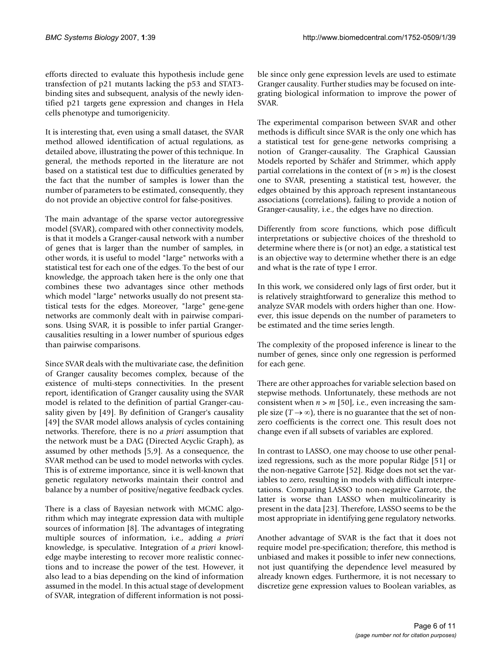efforts directed to evaluate this hypothesis include gene transfection of p21 mutants lacking the p53 and STAT3 binding sites and subsequent, analysis of the newly identified p21 targets gene expression and changes in Hela cells phenotype and tumorigenicity.

It is interesting that, even using a small dataset, the SVAR method allowed identification of actual regulations, as detailed above, illustrating the power of this technique. In general, the methods reported in the literature are not based on a statistical test due to difficulties generated by the fact that the number of samples is lower than the number of parameters to be estimated, consequently, they do not provide an objective control for false-positives.

The main advantage of the sparse vector autoregressive model (SVAR), compared with other connectivity models, is that it models a Granger-causal network with a number of genes that is larger than the number of samples, in other words, it is useful to model "large" networks with a statistical test for each one of the edges. To the best of our knowledge, the approach taken here is the only one that combines these two advantages since other methods which model "large" networks usually do not present statistical tests for the edges. Moreover, "large" gene-gene networks are commonly dealt with in pairwise comparisons. Using SVAR, it is possible to infer partial Grangercausalities resulting in a lower number of spurious edges than pairwise comparisons.

Since SVAR deals with the multivariate case, the definition of Granger causality becomes complex, because of the existence of multi-steps connectivities. In the present report, identification of Granger causality using the SVAR model is related to the definition of partial Granger-causality given by [49]. By definition of Granger's causality [49] the SVAR model allows analysis of cycles containing networks. Therefore, there is no *a priori* assumption that the network must be a DAG (Directed Acyclic Graph), as assumed by other methods [5,9]. As a consequence, the SVAR method can be used to model networks with cycles. This is of extreme importance, since it is well-known that genetic regulatory networks maintain their control and balance by a number of positive/negative feedback cycles.

There is a class of Bayesian network with MCMC algorithm which may integrate expression data with multiple sources of information [8]. The advantages of integrating multiple sources of information, i.e., adding *a priori* knowledge, is speculative. Integration of *a priori* knowledge maybe interesting to recover more realistic connections and to increase the power of the test. However, it also lead to a bias depending on the kind of information assumed in the model. In this actual stage of development of SVAR, integration of different information is not possible since only gene expression levels are used to estimate Granger causality. Further studies may be focused on integrating biological information to improve the power of SVAR.

The experimental comparison between SVAR and other methods is difficult since SVAR is the only one which has a statistical test for gene-gene networks comprising a notion of Granger-causality. The Graphical Gaussian Models reported by Schäfer and Strimmer, which apply partial correlations in the context of (*n > m*) is the closest one to SVAR, presenting a statistical test, however, the edges obtained by this approach represent instantaneous associations (correlations), failing to provide a notion of Granger-causality, i.e., the edges have no direction.

Differently from score functions, which pose difficult interpretations or subjective choices of the threshold to determine where there is (or not) an edge, a statistical test is an objective way to determine whether there is an edge and what is the rate of type I error.

In this work, we considered only lags of first order, but it is relatively straightforward to generalize this method to analyze SVAR models with orders higher than one. However, this issue depends on the number of parameters to be estimated and the time series length.

The complexity of the proposed inference is linear to the number of genes, since only one regression is performed for each gene.

There are other approaches for variable selection based on stepwise methods. Unfortunately, these methods are not consistent when  $n > m$  [50], i.e., even increasing the sample size  $(T \rightarrow \infty)$ , there is no guarantee that the set of nonzero coefficients is the correct one. This result does not change even if all subsets of variables are explored.

In contrast to LASSO, one may choose to use other penalized regressions, such as the more popular Ridge [51] or the non-negative Garrote [52]. Ridge does not set the variables to zero, resulting in models with difficult interpretations. Comparing LASSO to non-negative Garrote, the latter is worse than LASSO when multicolinearity is present in the data [23]. Therefore, LASSO seems to be the most appropriate in identifying gene regulatory networks.

Another advantage of SVAR is the fact that it does not require model pre-specification; therefore, this method is unbiased and makes it possible to infer new connections, not just quantifying the dependence level measured by already known edges. Furthermore, it is not necessary to discretize gene expression values to Boolean variables, as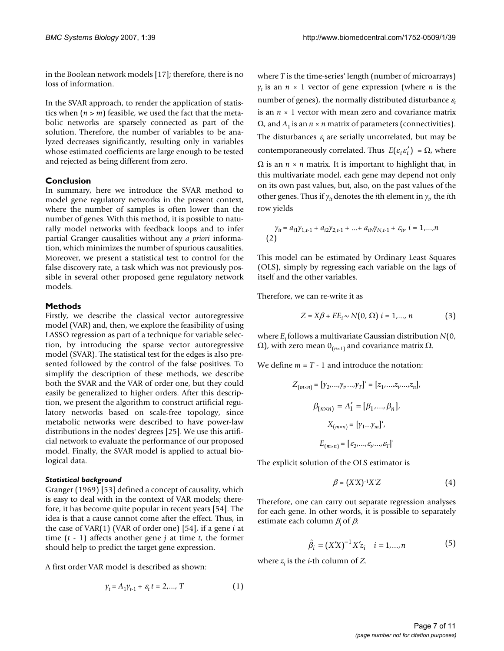in the Boolean network models [17]; therefore, there is no loss of information.

In the SVAR approach, to render the application of statistics when  $(n > m)$  feasible, we used the fact that the metabolic networks are sparsely connected as part of the solution. Therefore, the number of variables to be analyzed decreases significantly, resulting only in variables whose estimated coefficients are large enough to be tested and rejected as being different from zero.

# **Conclusion**

In summary, here we introduce the SVAR method to model gene regulatory networks in the present context, where the number of samples is often lower than the number of genes. With this method, it is possible to naturally model networks with feedback loops and to infer partial Granger causalities without any *a priori* information, which minimizes the number of spurious causalities. Moreover, we present a statistical test to control for the false discovery rate, a task which was not previously possible in several other proposed gene regulatory network models.

# **Methods**

Firstly, we describe the classical vector autoregressive model (VAR) and, then, we explore the feasibility of using LASSO regression as part of a technique for variable selection, by introducing the sparse vector autoregressive model (SVAR). The statistical test for the edges is also presented followed by the control of the false positives. To simplify the description of these methods, we describe both the SVAR and the VAR of order one, but they could easily be generalized to higher orders. After this description, we present the algorithm to construct artificial regulatory networks based on scale-free topology, since metabolic networks were described to have power-law distributions in the nodes' degrees [25]. We use this artificial network to evaluate the performance of our proposed model. Finally, the SVAR model is applied to actual biological data.

# *Statistical background*

Granger (1969) [53] defined a concept of causality, which is easy to deal with in the context of VAR models; therefore, it has become quite popular in recent years [54]. The idea is that a cause cannot come after the effect. Thus, in the case of VAR(1) (VAR of order one) [54], if a gene *i* at time (*t* - 1) affects another gene *j* at time *t*, the former should help to predict the target gene expression.

A first order VAR model is described as shown:

$$
\gamma_t = A_1 \gamma_{t-1} + \varepsilon_t \ t = 2, \dots, T \tag{1}
$$

where *T* is the time-series' length (number of microarrays)  $y_t$  is an  $n \times 1$  vector of gene expression (where *n* is the number of genes), the normally distributed disturbance <sup>ε</sup>*<sup>t</sup>* is an  $n \times 1$  vector with mean zero and covariance matrix  $\Omega$ , and  $A_1$  is an  $n \times n$  matrix of parameters (connectivities). The disturbances  $\varepsilon_t$  are serially uncorrelated, but may be contemporaneously correlated. Thus  $E(\varepsilon_t \varepsilon'_t) = \Omega$ , where  $\Omega$  is an  $n \times n$  matrix. It is important to highlight that, in this multivariate model, each gene may depend not only on its own past values, but, also, on the past values of the other genes. Thus if  $\gamma_{it}$  denotes the *i*th element in  $\gamma_{t'}$  the *i*th row yields

$$
\gamma_{it} = a_{i1}\gamma_{1,t-1} + a_{i2}\gamma_{2,t-1} + \dots + a_{iN}\gamma_{N,t-1} + \varepsilon_{it}, \ i = 1, \dots, n
$$
  
(2)

This model can be estimated by Ordinary Least Squares (OLS), simply by regressing each variable on the lags of itself and the other variables.

Therefore, we can re-write it as

$$
Z = X\beta + EE_i \sim N(0, \Omega) \quad i = 1, \dots, n \tag{3}
$$

where *Ei* follows a multivariate Gaussian distribution *N*(0,  $Ω$ ), with zero mean  $0_{(n \times 1)}$  and covariance matrix  $Ω$ .

We define *m* = *T* - 1 and introduce the notation:

$$
Z_{(m \times n)} = [y_2, \dots, y_{\nu}, \dots, y_T] = [z_1, \dots, z_i, \dots, z_n],
$$

$$
\beta_{(n \times n)} = A'_1 = [\beta_1, \dots, \beta_n],
$$

$$
X_{(m \times n)} = [y_1 \dots y_m]',
$$

$$
E_{(m \times n)} = [\varepsilon_2, \dots, \varepsilon_{\nu}, \dots, \varepsilon_T]'
$$

The explicit solution of the OLS estimator is

$$
\beta = (X'X)^{-1}X'Z \tag{4}
$$

Therefore, one can carry out separate regression analyses for each gene. In other words, it is possible to separately estimate each column β*i* of β:

$$
\hat{\beta}_i = (X'X)^{-1}X'z_i \quad i = 1,...,n
$$
 (5)

where  $z_i$  is the *i*-th column of *Z*.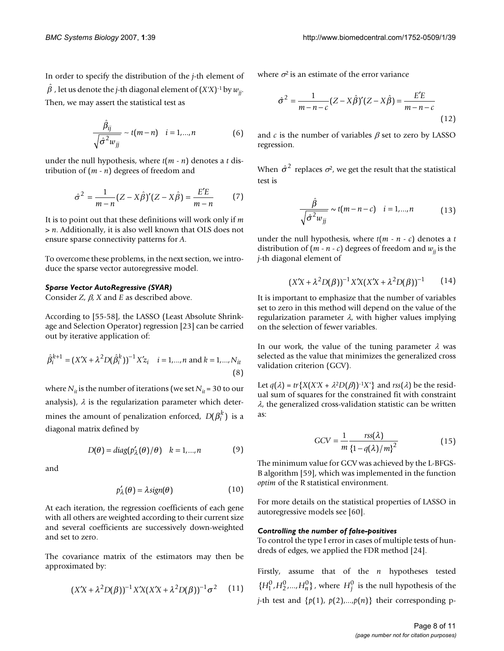In order to specify the distribution of the *j*-th element of  $\hat{\beta}$  , let us denote the *j*-th diagonal element of (*X'X*)<sup>-1</sup> by  $w_{jj^{\cdot}}$ Then, we may assert the statistical test as

$$
\frac{\hat{\beta}_{ij}}{\sqrt{\hat{\sigma}^2 w_{jj}}} \sim t(m-n) \quad i = 1,...,n \tag{6}
$$

under the null hypothesis, where *t*(*m* - *n*) denotes a *t* distribution of (*m* - *n*) degrees of freedom and

$$
\hat{\sigma}^2 = \frac{1}{m - n} (Z - X\hat{\beta})'(Z - X\hat{\beta}) = \frac{E'E}{m - n}
$$
 (7)

It is to point out that these definitions will work only if *m* > *n*. Additionally, it is also well known that OLS does not ensure sparse connectivity patterns for *A*.

To overcome these problems, in the next section, we introduce the sparse vector autoregressive model.

# *Sparse Vector AutoRegressive (SVAR)*

Consider *Z*, β, *X* and *E* as described above.

According to [55-58], the LASSO (Least Absolute Shrinkage and Selection Operator) regression [23] can be carried out by iterative application of:

$$
\hat{\beta}_i^{k+1} = (X'X + \lambda^2 D(\hat{\beta}_i^k))^{-1} X' z_i \quad i = 1,...,n \text{ and } k = 1,...,N_{it}
$$
\n(8)

where  $N_{it}$  is the number of iterations (we set  $N_{it}$  = 30 to our analysis),  $\lambda$  is the regularization parameter which determines the amount of penalization enforced,  $D(\beta_i^k)$  is a diagonal matrix defined by

$$
D(\theta) = diag(p'_{\lambda}(\theta)/\theta) \quad k = 1,...,n \tag{9}
$$

and

$$
p'_{\lambda}(\theta) = \lambda sign(\theta) \tag{10}
$$

At each iteration, the regression coefficients of each gene with all others are weighted according to their current size and several coefficients are successively down-weighted and set to zero.

The covariance matrix of the estimators may then be approximated by:

$$
(X'X + \lambda^2 D(\beta))^{-1}XX(X'X + \lambda^2 D(\beta))^{-1}\sigma^2 \qquad (11)
$$

where  $\sigma^2$  is an estimate of the error variance

$$
\hat{\sigma}^2 = \frac{1}{m - n - c} (Z - X\hat{\beta})'(Z - X\hat{\beta}) = \frac{E'E}{m - n - c}
$$
\n(12)

and  $c$  is the number of variables  $\beta$  set to zero by LASSO regression.

When  $\hat{\sigma}^2$  replaces  $\sigma^2$ , we get the result that the statistical test is

$$
\frac{\hat{\beta}}{\sqrt{\hat{\sigma}^2 w_{jj}}} \sim t(m-n-c) \quad i = 1,...,n \tag{13}
$$

under the null hypothesis, where *t*(*m* - *n* - *c*) denotes a *t* distribution of  $(m - n - c)$  degrees of freedom and  $w_{ji}$  is the *j*-th diagonal element of

$$
(X'X + \lambda^2 D(\beta))^{-1} X'X (X'X + \lambda^2 D(\beta))^{-1}
$$
 (14)

It is important to emphasize that the number of variables set to zero in this method will depend on the value of the regularization parameter  $\lambda$ , with higher values implying on the selection of fewer variables.

In our work, the value of the tuning parameter  $\lambda$  was selected as the value that minimizes the generalized cross validation criterion (GCV).

Let  $q(\lambda) = tr\{X(X'X + \lambda^2 D(\beta))^{-1}X'\}$  and  $\text{rss}(\lambda)$  be the residual sum of squares for the constrained fit with constraint  $\lambda$ , the generalized cross-validation statistic can be written as:

$$
GCV = \frac{1}{m} \frac{rss(\lambda)}{\left\{1 - q(\lambda)/m\right\}^2}
$$
(15)

The minimum value for GCV was achieved by the L-BFGS-B algorithm [59], which was implemented in the function *optim* of the R statistical environment.

For more details on the statistical properties of LASSO in autoregressive models see [60].

#### *Controlling the number of false-positives*

To control the type I error in cases of multiple tests of hundreds of edges, we applied the FDR method [24].

Firstly, assume that of the *n* hypotheses tested  ${H_1^0, H_2^0, ..., H_n^0}$ , where  $H_j^0$  is the null hypothesis of the *j*-th test and  $\{p(1), p(2),...,p(n)\}\$  their corresponding p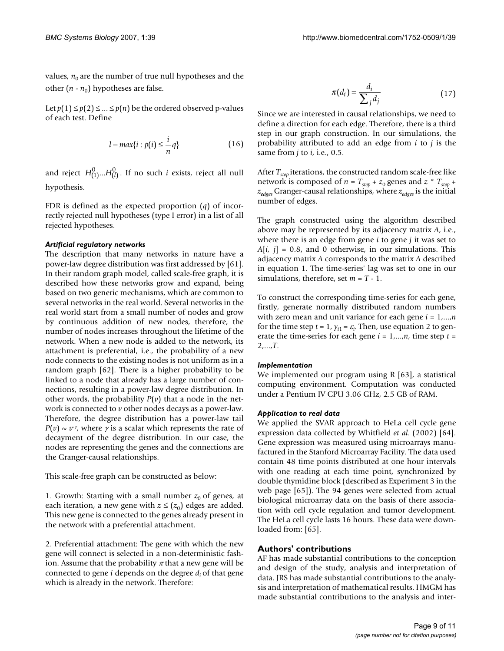values,  $n_0$  are the number of true null hypotheses and the other  $(n - n_0)$  hypotheses are false.

Let  $p(1) \le p(2) \le ... \le p(n)$  be the ordered observed p-values of each test. Define

$$
l - \max\{i : p(i) \le \frac{i}{n} q\}
$$
 (16)

and reject  $H^0_{(1)} ... H^0_{(l)}$ . If no such *i* exists, reject all null hypothesis.

FDR is defined as the expected proportion (*q*) of incorrectly rejected null hypotheses (type I error) in a list of all rejected hypotheses.

# *Artificial regulatory networks*

The description that many networks in nature have a power-law degree distribution was first addressed by [61]. In their random graph model, called scale-free graph, it is described how these networks grow and expand, being based on two generic mechanisms, which are common to several networks in the real world. Several networks in the real world start from a small number of nodes and grow by continuous addition of new nodes, therefore, the number of nodes increases throughout the lifetime of the network. When a new node is added to the network, its attachment is preferential, i.e., the probability of a new node connects to the existing nodes is not uniform as in a random graph [62]. There is a higher probability to be linked to a node that already has a large number of connections, resulting in a power-law degree distribution. In other words, the probability  $P(v)$  that a node in the network is connected to *v* other nodes decays as a power-law. Therefore, the degree distribution has a power-law tail  $P(v) \sim v^{\gamma}$ , where  $\gamma$  is a scalar which represents the rate of decayment of the degree distribution. In our case, the nodes are representing the genes and the connections are the Granger-causal relationships.

This scale-free graph can be constructed as below:

1. Growth: Starting with a small number  $z_0$  of genes, at each iteration, a new gene with  $z \leq (z_0)$  edges are added. This new gene is connected to the genes already present in the network with a preferential attachment.

2. Preferential attachment: The gene with which the new gene will connect is selected in a non-deterministic fashion. Assume that the probability  $\pi$  that a new gene will be connected to gene *i* depends on the degree *di* of that gene which is already in the network. Therefore:

$$
\pi(d_i) = \frac{d_i}{\sum_j d_j} \tag{17}
$$

Since we are interested in causal relationships, we need to define a direction for each edge. Therefore, there is a third step in our graph construction. In our simulations, the probability attributed to add an edge from *i* to *j* is the same from *j* to *i*, i.e., 0.5.

After  $T_{step}$  iterations, the constructed random scale-free like network is composed of  $n = T_{step} + z_0$  genes and  $z * T_{step} + z_0$ *zedges* Granger-causal relationships, where *zedges* is the initial number of edges.

The graph constructed using the algorithm described above may be represented by its adjacency matrix *A*, i.e., where there is an edge from gene *i* to gene *j* it was set to  $A[i, j] = 0.8$ , and 0 otherwise, in our simulations. This adjacency matrix *A* corresponds to the matrix *A* described in equation 1. The time-series' lag was set to one in our simulations, therefore, set  $m = T - 1$ .

To construct the corresponding time-series for each gene, firstly, generate normally distributed random numbers with zero mean and unit variance for each gene *i* = 1,...,*n* for the time step  $t = 1$ ,  $\gamma_{i1} = \varepsilon_i$ . Then, use equation 2 to generate the time-series for each gene  $i = 1,...,n$ , time step  $t =$ 2,...,*T*.

# *Implementation*

We implemented our program using R [63], a statistical computing environment. Computation was conducted under a Pentium IV CPU 3.06 GHz, 2.5 GB of RAM.

## *Application to real data*

We applied the SVAR approach to HeLa cell cycle gene expression data collected by Whitfield *et al*. (2002) [64]. Gene expression was measured using microarrays manufactured in the Stanford Microarray Facility. The data used contain 48 time points distributed at one hour intervals with one reading at each time point, synchronized by double thymidine block (described as Experiment 3 in the web page [65]). The 94 genes were selected from actual biological microarray data on the basis of there association with cell cycle regulation and tumor development. The HeLa cell cycle lasts 16 hours. These data were downloaded from: [65].

# **Authors' contributions**

AF has made substantial contributions to the conception and design of the study, analysis and interpretation of data. JRS has made substantial contributions to the analysis and interpretation of mathematical results. HMGM has made substantial contributions to the analysis and inter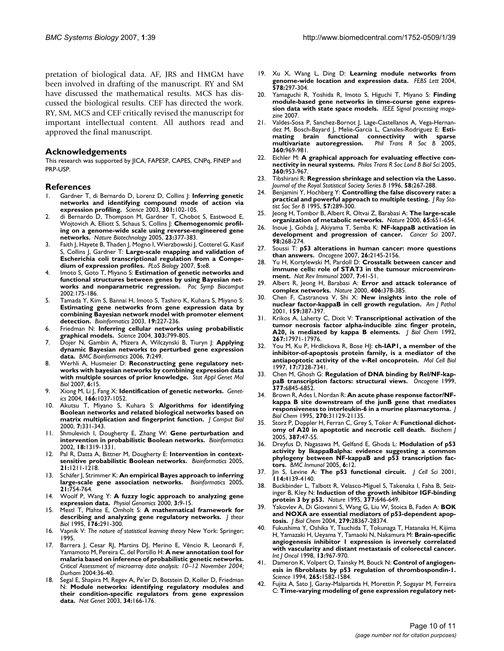pretation of biological data. AF, JRS and HMGM have been involved in drafting of the manuscript. RY and SM have discussed the mathematical results. MCS has discussed the biological results. CEF has directed the work. RY, SM, MCS and CEF critically revised the manuscript for important intellectual content. All authors read and approved the final manuscript.

#### **Acknowledgements**

This research was supported by JICA, FAPESP, CAPES, CNPq, FINEP and PRP-USP.

#### **References**

- 1. Gardner T, di Bernardo D, Lorenz D, Collins J: **[Inferring genetic](http://www.ncbi.nlm.nih.gov/entrez/query.fcgi?cmd=Retrieve&db=PubMed&dopt=Abstract&list_uids=12843395) [networks and identifying compound mode of action via](http://www.ncbi.nlm.nih.gov/entrez/query.fcgi?cmd=Retrieve&db=PubMed&dopt=Abstract&list_uids=12843395) [expression profiling.](http://www.ncbi.nlm.nih.gov/entrez/query.fcgi?cmd=Retrieve&db=PubMed&dopt=Abstract&list_uids=12843395)** *Science* 2003, **301:**102-105.
- 2. di Bernardo D, Thompson M, Gardner T, Chobot S, Eastwood E, Wojtovich A, Elliott S, Schaus S, Collins J: **[Chemogenomic profil](http://www.ncbi.nlm.nih.gov/entrez/query.fcgi?cmd=Retrieve&db=PubMed&dopt=Abstract&list_uids=15765094)[ing on a genome-wide scale using reverse-engineered gene](http://www.ncbi.nlm.nih.gov/entrez/query.fcgi?cmd=Retrieve&db=PubMed&dopt=Abstract&list_uids=15765094) [networks.](http://www.ncbi.nlm.nih.gov/entrez/query.fcgi?cmd=Retrieve&db=PubMed&dopt=Abstract&list_uids=15765094)** *Nature Biotechnology* 2005, **23:**377-383.
- 3. Faith J, Hayete B, Thaden J, Mogno I, Wierzbowski J, Cotterel G, Kasif S, Collins J, Gardner T: **[Large-scale mapping and validation of](http://www.ncbi.nlm.nih.gov/entrez/query.fcgi?cmd=Retrieve&db=PubMed&dopt=Abstract&list_uids=17214507) [Escherichia coli transcriptional regulation from a Compe](http://www.ncbi.nlm.nih.gov/entrez/query.fcgi?cmd=Retrieve&db=PubMed&dopt=Abstract&list_uids=17214507)[dium of expression profiles.](http://www.ncbi.nlm.nih.gov/entrez/query.fcgi?cmd=Retrieve&db=PubMed&dopt=Abstract&list_uids=17214507)** *PLoS Biology* 2007, **5:**e8.
- 4. Imoto S, Goto T, Miyano S: **[Estimation of genetic networks and](http://www.ncbi.nlm.nih.gov/entrez/query.fcgi?cmd=Retrieve&db=PubMed&dopt=Abstract&list_uids=11928473) [functional structures between genes by using Bayesian net](http://www.ncbi.nlm.nih.gov/entrez/query.fcgi?cmd=Retrieve&db=PubMed&dopt=Abstract&list_uids=11928473)[works and nonparametric regression.](http://www.ncbi.nlm.nih.gov/entrez/query.fcgi?cmd=Retrieve&db=PubMed&dopt=Abstract&list_uids=11928473)** *Pac Symp Biocomput* 2002:175-186.
- 5. Tamada Y, Kim S, Bannai H, Imoto S, Tashiro K, Kuhara S, Miyano S: **Estimating gene networks from gene expression data by combining Bayesian network model with promoter element detection.** *Bioinformatics* 2003, **19:**227-236.
- 6. Friedman N: **[Inferring cellular networks using probabilistic](http://www.ncbi.nlm.nih.gov/entrez/query.fcgi?cmd=Retrieve&db=PubMed&dopt=Abstract&list_uids=14764868) [graphical models.](http://www.ncbi.nlm.nih.gov/entrez/query.fcgi?cmd=Retrieve&db=PubMed&dopt=Abstract&list_uids=14764868)** *Science* 2004, **303:**799-805.
- 7. Dojer N, Gambin A, Mizera A, Wilczynski B, Tiuryn J: **[Applying](http://www.ncbi.nlm.nih.gov/entrez/query.fcgi?cmd=Retrieve&db=PubMed&dopt=Abstract&list_uids=16681847) [dynamic Bayesian networks to perturbed gene expression](http://www.ncbi.nlm.nih.gov/entrez/query.fcgi?cmd=Retrieve&db=PubMed&dopt=Abstract&list_uids=16681847) [data.](http://www.ncbi.nlm.nih.gov/entrez/query.fcgi?cmd=Retrieve&db=PubMed&dopt=Abstract&list_uids=16681847)** *BMC Bioinformatics* 2006, **7:**249.
- 8. Werhli A, Husmeier D: **Reconstructing gene regulatory networks with bayesian networks by combining expression data with multiple sources of prior knowledge.** *Stat Appl Genet Mol Biol* 2007, **6:**15.
- 9. Xiong M, Li J, Fang X: **[Identification of genetic networks.](http://www.ncbi.nlm.nih.gov/entrez/query.fcgi?cmd=Retrieve&db=PubMed&dopt=Abstract&list_uids=15020486)** *Genetics* 2004, **166:**1037-1052.
- 10. Akutsu T, Miyano S, Kuhara S: **[Algorithms for identifying](http://www.ncbi.nlm.nih.gov/entrez/query.fcgi?cmd=Retrieve&db=PubMed&dopt=Abstract&list_uids=11108466) [Boolean networks and related biological networks based on](http://www.ncbi.nlm.nih.gov/entrez/query.fcgi?cmd=Retrieve&db=PubMed&dopt=Abstract&list_uids=11108466) [matrix multiplication and fingerprint function.](http://www.ncbi.nlm.nih.gov/entrez/query.fcgi?cmd=Retrieve&db=PubMed&dopt=Abstract&list_uids=11108466)** *J Comput Biol* 2000, **7:**331-343.
- 11. Shmulevich I, Dougherty E, Zhang W: **[Gene perturbation and](http://www.ncbi.nlm.nih.gov/entrez/query.fcgi?cmd=Retrieve&db=PubMed&dopt=Abstract&list_uids=12376376) [intervention in probabilistic Boolean networks.](http://www.ncbi.nlm.nih.gov/entrez/query.fcgi?cmd=Retrieve&db=PubMed&dopt=Abstract&list_uids=12376376)** *Bioinformatics* 2002, **18:**1319-1331.
- 12. Pal R, Datta A, Bittner M, Dougherty E: **[Intervention in context](http://www.ncbi.nlm.nih.gov/entrez/query.fcgi?cmd=Retrieve&db=PubMed&dopt=Abstract&list_uids=15531600)[sensitive probabilistic Boolean networks.](http://www.ncbi.nlm.nih.gov/entrez/query.fcgi?cmd=Retrieve&db=PubMed&dopt=Abstract&list_uids=15531600)** *Bioinformatics* 2005, **21:**1211-1218.
- 13. Schäfer J, Strimmer K: **[An empirical Bayes approach to inferring](http://www.ncbi.nlm.nih.gov/entrez/query.fcgi?cmd=Retrieve&db=PubMed&dopt=Abstract&list_uids=15479708) [large-scale gene association networks.](http://www.ncbi.nlm.nih.gov/entrez/query.fcgi?cmd=Retrieve&db=PubMed&dopt=Abstract&list_uids=15479708)** *Bioinformatics* 2005, **21:**754-764.
- 14. Woolf P, Wang Y: **[A fuzzy logic approach to analyzing gene](http://www.ncbi.nlm.nih.gov/entrez/query.fcgi?cmd=Retrieve&db=PubMed&dopt=Abstract&list_uids=11015595) [expression data.](http://www.ncbi.nlm.nih.gov/entrez/query.fcgi?cmd=Retrieve&db=PubMed&dopt=Abstract&list_uids=11015595)** *Physiol Genomics* 2000, **3:**9-15.
- 15. Mestl T, Plahte E, Omholt S: **[A mathematical framework for](http://www.ncbi.nlm.nih.gov/entrez/query.fcgi?cmd=Retrieve&db=PubMed&dopt=Abstract&list_uids=7475117) [describing and analyzing gene regulatory networks.](http://www.ncbi.nlm.nih.gov/entrez/query.fcgi?cmd=Retrieve&db=PubMed&dopt=Abstract&list_uids=7475117)** *J theor Biol* 1995, **176:**291-300.
- 16. Vapnik V: *The nature of statistical learning theory* New York: Springer; 1995.
- 17. Barrera J, Cesar RJ, Martins DJ, Merino E, Vêncio R, Leonardi F, Yamamoto M, Pereira C, del Portillo H: **A new annotation tool for malaria based on inference of probabilistic genetic networks.** *Critical Assessment of microarray data analysis: 10–12 November 2004; Durham* 2004:36-40.
- 18. Segal E, Shapira M, Regev A, Pe'er D, Botstein D, Koller D, Friedman N: **[Module networks: identifying regulatory modules and](http://www.ncbi.nlm.nih.gov/entrez/query.fcgi?cmd=Retrieve&db=PubMed&dopt=Abstract&list_uids=12740579) [their condition-specific regulators from gene expression](http://www.ncbi.nlm.nih.gov/entrez/query.fcgi?cmd=Retrieve&db=PubMed&dopt=Abstract&list_uids=12740579) [data.](http://www.ncbi.nlm.nih.gov/entrez/query.fcgi?cmd=Retrieve&db=PubMed&dopt=Abstract&list_uids=12740579)** *Nat Genet* 2003, **34:**166-176.
- 19. Xu X, Wang L, Ding D: **[Learning module networks from](http://www.ncbi.nlm.nih.gov/entrez/query.fcgi?cmd=Retrieve&db=PubMed&dopt=Abstract&list_uids=15589836) [genome-wide location and expression data.](http://www.ncbi.nlm.nih.gov/entrez/query.fcgi?cmd=Retrieve&db=PubMed&dopt=Abstract&list_uids=15589836)** *FEBS Lett* 2004, **578:**297-304.
- 20. Yamaguchi R, Yoshida R, Imoto S, Higuchi T, Miyano S: **Finding module-based gene networks in time-course gene expression data with state space models.** *IEEE Signal processing magazine* 2007.
- 21. Valdes-Sosa P, Sanchez-Bornot J, Lage-Castellanos A, Vega-Hernandez M, Bosch-Bayard J, Melie-Garcia L, Canales-Rodriguez E: **[Esti](http://www.ncbi.nlm.nih.gov/entrez/query.fcgi?cmd=Retrieve&db=PubMed&dopt=Abstract&list_uids=16087441)**[mating brain functional connectivity with sparse](http://www.ncbi.nlm.nih.gov/entrez/query.fcgi?cmd=Retrieve&db=PubMed&dopt=Abstract&list_uids=16087441)<br>multivariate autoregression. Phil Trans R Soc B 2005,  $multivariate$  autoregression. **360:**969-981.
- 22. Eichler M: **[A graphical approach for evaluating effective con](http://www.ncbi.nlm.nih.gov/entrez/query.fcgi?cmd=Retrieve&db=PubMed&dopt=Abstract&list_uids=16087440)[nectivity in neural systems.](http://www.ncbi.nlm.nih.gov/entrez/query.fcgi?cmd=Retrieve&db=PubMed&dopt=Abstract&list_uids=16087440)** *Philos Trans R Soc Lond B Biol Sci* 2005, **360:**953-967.
- 23. Tibshirani R: **Regression shrinkage and selection via the Lasso.** *Journal of the Royal Statistical Society Series B* 1996, **58:**267-288.
- 24. Benjamini Y, Hochberg Y: **Controlling the false discovery rate: a practical and powerful approach to multiple testing.** *J Roy Statist Soc Ser B* 1995, **57:**289-300.
- 25. Jeong H, Tombor B, Albert R, Oltvai Z, Barabasi A: **The large-scale organization of metabolic networks.** *Nature* 2000, **65:**651-654.
- 26. Inoue J, Gohda J, Akiyama T, Semba K: **[NF-kappaB activation in](http://www.ncbi.nlm.nih.gov/entrez/query.fcgi?cmd=Retrieve&db=PubMed&dopt=Abstract&list_uids=17270016) [development and progression of cancer.](http://www.ncbi.nlm.nih.gov/entrez/query.fcgi?cmd=Retrieve&db=PubMed&dopt=Abstract&list_uids=17270016)** *Cancer Sci* 2007, **98:**268-274.
- 27. Soussi T: **[p53 alterations in human cancer: more questions](http://www.ncbi.nlm.nih.gov/entrez/query.fcgi?cmd=Retrieve&db=PubMed&dopt=Abstract&list_uids=17401423) [than answers.](http://www.ncbi.nlm.nih.gov/entrez/query.fcgi?cmd=Retrieve&db=PubMed&dopt=Abstract&list_uids=17401423)** *Oncogene* 2007, **26:**2145-2156.
- 28. Yu H, Kortylewski M, Pardoll D: **[Crosstalk between cancer and](http://www.ncbi.nlm.nih.gov/entrez/query.fcgi?cmd=Retrieve&db=PubMed&dopt=Abstract&list_uids=17186030) [immune cells: role of STAT3 in the tumour microenviron](http://www.ncbi.nlm.nih.gov/entrez/query.fcgi?cmd=Retrieve&db=PubMed&dopt=Abstract&list_uids=17186030)[ment.](http://www.ncbi.nlm.nih.gov/entrez/query.fcgi?cmd=Retrieve&db=PubMed&dopt=Abstract&list_uids=17186030)** *Nat Rev Immunol* 2007, **7:**41-51.
- 29. Albert R, Jeong H, Barabasi A: **[Error and attack tolerance of](http://www.ncbi.nlm.nih.gov/entrez/query.fcgi?cmd=Retrieve&db=PubMed&dopt=Abstract&list_uids=10935628) [complex networks.](http://www.ncbi.nlm.nih.gov/entrez/query.fcgi?cmd=Retrieve&db=PubMed&dopt=Abstract&list_uids=10935628)** *Nature* 2000, **406:**378-385.
- 30. Chen F, Castranova V, Shi X: **[New insights into the role of](http://www.ncbi.nlm.nih.gov/entrez/query.fcgi?cmd=Retrieve&db=PubMed&dopt=Abstract&list_uids=11485895) [nuclear factor-kappaB in cell growth regulation.](http://www.ncbi.nlm.nih.gov/entrez/query.fcgi?cmd=Retrieve&db=PubMed&dopt=Abstract&list_uids=11485895)** *Am J Pathol* 2001, **159:**387-397.
- 31. Krikos A, Laherty C, Dixit V: **[Transcriptional activation of the](http://www.ncbi.nlm.nih.gov/entrez/query.fcgi?cmd=Retrieve&db=PubMed&dopt=Abstract&list_uids=1381359) [tumor necrosis factor alpha-inducible zinc finger protein,](http://www.ncbi.nlm.nih.gov/entrez/query.fcgi?cmd=Retrieve&db=PubMed&dopt=Abstract&list_uids=1381359) [A20, is mediated by kappa B elements.](http://www.ncbi.nlm.nih.gov/entrez/query.fcgi?cmd=Retrieve&db=PubMed&dopt=Abstract&list_uids=1381359)** *J Biol Chem* 1992, **267:**17971-17976.
- 32. You M, Ku P, Hrdlickova R, Bose HJ: **[ch-IAP1, a member of the](http://www.ncbi.nlm.nih.gov/entrez/query.fcgi?cmd=Retrieve&db=PubMed&dopt=Abstract&list_uids=9372964) [inhibitor-of-apoptosis protein family, is a mediator of the](http://www.ncbi.nlm.nih.gov/entrez/query.fcgi?cmd=Retrieve&db=PubMed&dopt=Abstract&list_uids=9372964) [antiapoptotic activity of the v-Rel oncoprotein.](http://www.ncbi.nlm.nih.gov/entrez/query.fcgi?cmd=Retrieve&db=PubMed&dopt=Abstract&list_uids=9372964)** *Mol Cell Biol* 1997, **17:**7328-7341.
- 33. Chen M, Ghosh G: **Regulation of DNA binding by Rel/NF-kappaB transcription factors: structural views.** *Oncogene* 1999, **377:**6845-6852.
- 34. Brown R, Ades I, Nordan R: **[An acute phase response factor/NF](http://www.ncbi.nlm.nih.gov/entrez/query.fcgi?cmd=Retrieve&db=PubMed&dopt=Abstract&list_uids=8537375)[kappa B site downstream of the junB gene that mediates](http://www.ncbi.nlm.nih.gov/entrez/query.fcgi?cmd=Retrieve&db=PubMed&dopt=Abstract&list_uids=8537375) [responsiveness to interleukin-6 in a murine plasmacytoma.](http://www.ncbi.nlm.nih.gov/entrez/query.fcgi?cmd=Retrieve&db=PubMed&dopt=Abstract&list_uids=8537375)** *J Biol Chem* 1995, **270:**31129-21135.
- 35. Storz P, Doppler H, Ferran C, Grey S, Toker A: **[Functional dichot](http://www.ncbi.nlm.nih.gov/entrez/query.fcgi?cmd=Retrieve&db=PubMed&dopt=Abstract&list_uids=15527421)[omy of A20 in apoptotic and necrotic cell death.](http://www.ncbi.nlm.nih.gov/entrez/query.fcgi?cmd=Retrieve&db=PubMed&dopt=Abstract&list_uids=15527421)** *Biochem J* 2005, **387:**47-55.
- 36. Dreyfus D, Nagasawa M, Gelfand E, Ghoda L: **Modulation of p53 activity by IkappaBalpha: evidence suggesting a common phylogeny between NF-kappaB and p53 transcription factors.** *BMC Inmunol* 2005, **6:**12.
- 37. Jin S, Levine A: **[The p53 functional circuit.](http://www.ncbi.nlm.nih.gov/entrez/query.fcgi?cmd=Retrieve&db=PubMed&dopt=Abstract&list_uids=11739646)** *J Cell Sci* 2001, **114:**4139-4140.
- 38. Buckbinder L, Talbott R, Velasco-Miguel S, Takenaka I, Faha B, Seizinger B, Kley N: **[Induction of the growth inhibitor IGF-binding](http://www.ncbi.nlm.nih.gov/entrez/query.fcgi?cmd=Retrieve&db=PubMed&dopt=Abstract&list_uids=7566179) [protein 3 by p53.](http://www.ncbi.nlm.nih.gov/entrez/query.fcgi?cmd=Retrieve&db=PubMed&dopt=Abstract&list_uids=7566179)** *Nature* 1995, **377:**646-649.
- 39. Yakovlev A, Di Giovanni S, Wang G, Liu W, Stoica B, Faden A: **[BOK](http://www.ncbi.nlm.nih.gov/entrez/query.fcgi?cmd=Retrieve&db=PubMed&dopt=Abstract&list_uids=15102863) [and NOXA are essential mediators of p53-dependent apop](http://www.ncbi.nlm.nih.gov/entrez/query.fcgi?cmd=Retrieve&db=PubMed&dopt=Abstract&list_uids=15102863)[tosis.](http://www.ncbi.nlm.nih.gov/entrez/query.fcgi?cmd=Retrieve&db=PubMed&dopt=Abstract&list_uids=15102863)** *J Biol Chem* 2004, **279:**28367-28374.
- 40. Fukushima Y, Oshika Y, Tsuchida T, Tokunaga T, Hatanaka H, Kijima H, Yamazaki H, Ueyama Y, Tamaoki N, Nakamura M: **[Brain-specific](http://www.ncbi.nlm.nih.gov/entrez/query.fcgi?cmd=Retrieve&db=PubMed&dopt=Abstract&list_uids=9772287) angiogenesis inhibitor 1 expression is inversely correlated [with vascularity and distant metastasis of colorectal cancer.](http://www.ncbi.nlm.nih.gov/entrez/query.fcgi?cmd=Retrieve&db=PubMed&dopt=Abstract&list_uids=9772287)** *Int J Oncol* 1998, **13:**967-970.
- 41. Dameron K, Volpert O, Tainsky M, Bouck N: **[Control of angiogen](http://www.ncbi.nlm.nih.gov/entrez/query.fcgi?cmd=Retrieve&db=PubMed&dopt=Abstract&list_uids=7521539)[esis in fibroblasts by p53 regulation of thrombospondin-1.](http://www.ncbi.nlm.nih.gov/entrez/query.fcgi?cmd=Retrieve&db=PubMed&dopt=Abstract&list_uids=7521539)** *Science* 1994, **265:**1582-1584.
- 42. Fujita A, Sato J, Garay-Malpartida H, Morettin P, Sogayar M, Ferreira C: **[Time-varying modeling of gene expression regulatory net](http://www.ncbi.nlm.nih.gov/entrez/query.fcgi?cmd=Retrieve&db=PubMed&dopt=Abstract&list_uids=17463021)-**